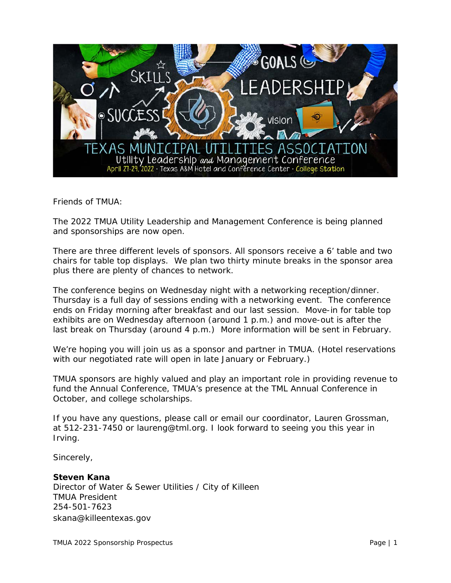

Friends of TMUA:

The 2022 TMUA Utility Leadership and Management Conference is being planned and sponsorships are now open.

There are three different levels of sponsors. All sponsors receive a 6' table and two chairs for table top displays. We plan two thirty minute breaks in the sponsor area plus there are plenty of chances to network.

The conference begins on Wednesday night with a networking reception/dinner. Thursday is a full day of sessions ending with a networking event. The conference ends on Friday morning after breakfast and our last session. Move-in for table top exhibits are on Wednesday afternoon (around 1 p.m.) and move-out is after the last break on Thursday (around 4 p.m.) More information will be sent in February.

We're hoping you will join us as a sponsor and partner in TMUA. (Hotel reservations with our negotiated rate will open in late January or February.)

TMUA sponsors are highly valued and play an important role in providing revenue to fund the Annual Conference, TMUA's presence at the TML Annual Conference in October, and college scholarships.

If you have any questions, please call or email our coordinator, Lauren Grossman, at 512-231-7450 or laureng@tml.org. I look forward to seeing you this year in Irving.

Sincerely,

#### **Steven Kana**

Director of Water & Sewer Utilities / City of Killeen TMUA President 254-501-7623 skana@killeentexas.gov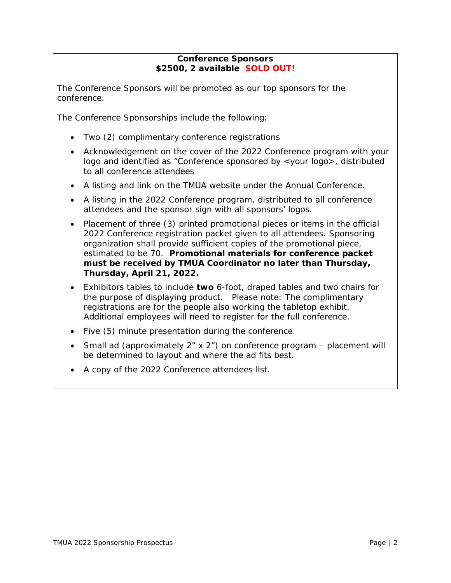## **Conference Sponsors \$2500, 2 available SOLD OUT!**

The Conference Sponsors will be promoted as our top sponsors for the conference.

The Conference Sponsorships include the following:

- Two (2) complimentary conference registrations
- Acknowledgement on the cover of the 2022 Conference program with your logo and identified as "Conference sponsored by <your logo>, distributed to all conference attendees
- A listing and link on the TMUA website under the Annual Conference.
- A listing in the 2022 Conference program, distributed to all conference attendees and the sponsor sign with all sponsors' logos.
- Placement of three (3) printed promotional pieces or items in the official 2022 Conference registration packet given to all attendees. Sponsoring organization shall provide sufficient copies of the promotional piece, estimated to be 70. **Promotional materials for conference packet must be received by TMUA Coordinator no later than Thursday, Thursday, April 21, 2022.**
- Exhibitors tables to include **two** 6-foot, draped tables and two chairs for the purpose of displaying product. Please note: The complimentary registrations are for the people also working the tabletop exhibit. Additional employees will need to register for the full conference.
- Five (5) minute presentation during the conference.
- Small ad (approximately  $2<sup>r</sup> \times 2<sup>r</sup>$ ) on conference program placement will be determined to layout and where the ad fits best.
- A copy of the 2022 Conference attendees list.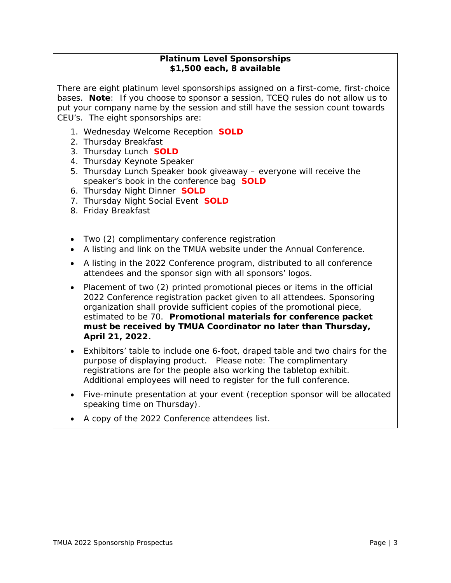## **Platinum Level Sponsorships \$1,500 each, 8 available**

There are eight platinum level sponsorships assigned on a first-come, first-choice bases. **Note**: If you choose to sponsor a session, TCEQ rules do not allow us to put your company name by the session and still have the session count towards CEU's. The eight sponsorships are:

- 1. Wednesday Welcome Reception **SOLD**
- 2. Thursday Breakfast
- 3. Thursday Lunch **SOLD**
- 4. Thursday Keynote Speaker
- 5. Thursday Lunch Speaker book giveaway everyone will receive the speaker's book in the conference bag **SOLD**
- 6. Thursday Night Dinner **SOLD**
- 7. Thursday Night Social Event **SOLD**
- 8. Friday Breakfast
- Two (2) complimentary conference registration
- A listing and link on the TMUA website under the Annual Conference.
- A listing in the 2022 Conference program, distributed to all conference attendees and the sponsor sign with all sponsors' logos.
- Placement of two (2) printed promotional pieces or items in the official 2022 Conference registration packet given to all attendees. Sponsoring organization shall provide sufficient copies of the promotional piece, estimated to be 70. **Promotional materials for conference packet must be received by TMUA Coordinator no later than Thursday, April 21, 2022.**
- Exhibitors' table to include one 6-foot, draped table and two chairs for the purpose of displaying product. Please note: The complimentary registrations are for the people also working the tabletop exhibit. Additional employees will need to register for the full conference.
- Five-minute presentation at your event (reception sponsor will be allocated speaking time on Thursday).
- A copy of the 2022 Conference attendees list.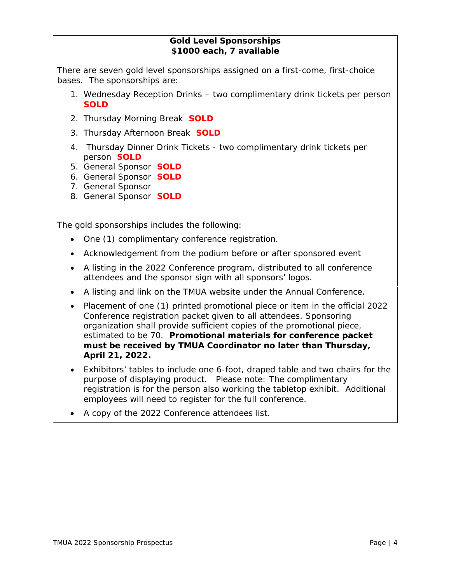## **Gold Level Sponsorships \$1000 each, 7 available**

There are seven gold level sponsorships assigned on a first-come, first-choice bases. The sponsorships are:

- 1. Wednesday Reception Drinks two complimentary drink tickets per person **SOLD**
- 2. Thursday Morning Break **SOLD**
- 3. Thursday Afternoon Break **SOLD**
- 4. Thursday Dinner Drink Tickets two complimentary drink tickets per person **SOLD**
- 5. General Sponsor **SOLD**
- 6. General Sponsor **SOLD**
- 7. General Sponsor
- 8. General Sponsor **SOLD**

The gold sponsorships includes the following:

- One (1) complimentary conference registration.
- Acknowledgement from the podium before or after sponsored event
- A listing in the 2022 Conference program, distributed to all conference attendees and the sponsor sign with all sponsors' logos.
- A listing and link on the TMUA website under the Annual Conference.
- Placement of one (1) printed promotional piece or item in the official 2022 Conference registration packet given to all attendees. Sponsoring organization shall provide sufficient copies of the promotional piece, estimated to be 70. **Promotional materials for conference packet must be received by TMUA Coordinator no later than Thursday, April 21, 2022.**
- Exhibitors' tables to include one 6-foot, draped table and two chairs for the purpose of displaying product. Please note: The complimentary registration is for the person also working the tabletop exhibit. Additional employees will need to register for the full conference.
- A copy of the 2022 Conference attendees list.